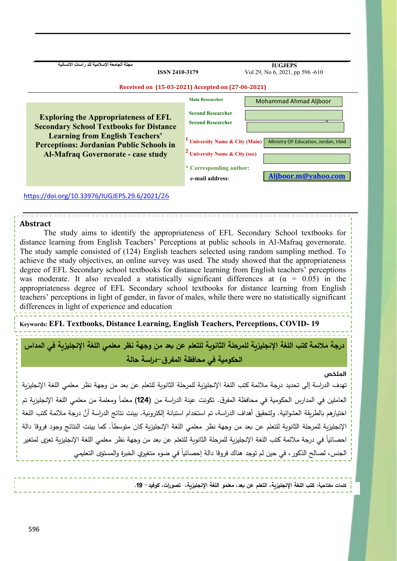**مجلة الجامعة اإلسالمية للد را سات االنسانية**

 **IUGJEPS** Vol 29, No 6, 2021, pp 596 -610

| <b>Exploring the Appropriateness of EFL</b><br><b>Secondary School Textbooks for Distance</b><br><b>Learning from English Teachers'</b><br><b>Perceptions: Jordanian Public Schools in</b><br><b>Al-Mafraq Governorate - case study</b> | <b>Main Researcher</b><br><b>Second Researcher</b><br><b>Second Researcher</b><br><sup>1</sup> University Name & City (Main)<br>$\sim$ University Name & City (sec) | <b>Mohammad Ahmad Aliboor</b><br>Ministry OF Education, Jordan, Irbid |
|-----------------------------------------------------------------------------------------------------------------------------------------------------------------------------------------------------------------------------------------|---------------------------------------------------------------------------------------------------------------------------------------------------------------------|-----------------------------------------------------------------------|
|                                                                                                                                                                                                                                         | * Corresponding author:<br>e-mail address:                                                                                                                          | Aliboor.m@yahoo.com                                                   |

**ISSN 2410-3179**

# **Abstract**

The study aims to identify the appropriateness of EFL Secondary School textbooks for distance learning from English Teachers' Perceptions at public schools in Al-Mafraq governorate. The study sample consisted of (124) English teachers selected using random sampling method. To achieve the study objectives, an online survey was used. The study showed that the appropriateness degree of EFL Secondary school textbooks for distance learning from English teachers' perceptions was moderate. It also revealed a statistically significant differences at  $(\alpha = 0.05)$  in the appropriateness degree of EFL Secondary school textbooks for distance learning from English teachers' perceptions in light of gender, in favor of males, while there were no statistically significant differences in light of experience and education

**Keywords: EFL Textbooks, Distance Learning, English Teachers, Perceptions, COVID- 19**

**درجة مالئمة كتب اللغة اإلنجليزية للمرحلة الثانوية للتعلم عن بعد من وجهة نظر معلمي اللغة اإلنجليزية في المداس الحكومية في محافظة المفرق-دراسة حالة** 

#### **امللخص**

تهدف الدراسة إلى تحديد درجة مالئمة كتب اللغة اإلنجليزية للمرحلة الثانوية للتعلم عن بعد من وجهة نظر معلمي اللغة اإلنجليزية العاملين في المدارس الحكومية في محافظة المفرق. تكونت عينة الدراسة من **(124)** معلماً ومعلمة من معلمي اللغة الإنجليزية تم اختيارهم بالطريقة العشوائية. ولتحقيق أهداف الدراسة، تم استخدام استبانة إلكترونية. بينت نتائج الدراسة أنَّ درجة ملائمة كتب اللغة الإنجليزية للمرحلة الثانوية للتعلم عن بعد من وجهة نظر معلمي اللغة الإنجليزية كان متوسطا. كما بينت النتائج وجود فروقا دالة احصائياً في درجة ملائمة كتب اللغة الإنجليزية للمرحلة الثانوية للتعلم عن بعد من وجهة نظر معلمي اللغة الإنجليزية تعزى لمتغير الجنس، لصالح الذكور ، في حين لم توجد هناك فروقا دالة إحصائياً في ضوء متغيري الخبرة والمستوى التعليمي

**Introduction كلمات مفتاحية: كتب اللغة اإلنجليزية، التعلم عن بعد، معلمو اللغة اإلنجليزية، تصورات، كوفيد- .19**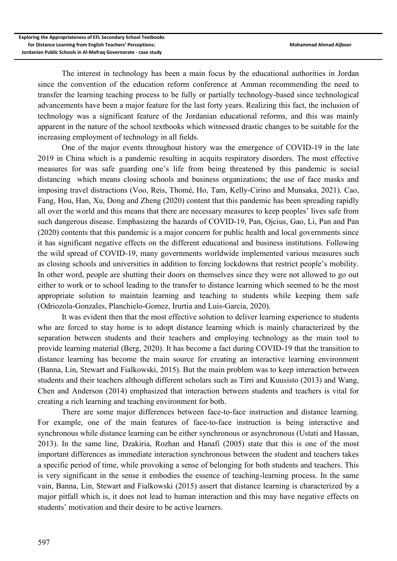The interest in technology has been a main focus by the educational authorities in Jordan since the convention of the education reform conference at Amman recommending the need to transfer the learning teaching process to be fully or partially technology-based since technological advancements have been a major feature for the last forty years. Realizing this fact, the inclusion of technology was a significant feature of the Jordanian educational reforms, and this was mainly apparent in the nature of the school textbooks which witnessed drastic changes to be suitable for the increasing employment of technology in all fields.

One of the major events throughout history was the emergence of COVID-19 in the late 2019 in China which is a pandemic resulting in acquits respiratory disorders. The most effective measures for was safe guarding one's life from being threatened by this pandemic is social distancing which means closing schools and business organizations; the use of face masks and imposing travel distractions (Voo, Reis, Thomé, Ho, Tam, Kelly-Cirino and Munsaka, 2021). Cao, Fang, Hou, Han, Xu, Dong and Zheng (2020) content that this pandemic has been spreading rapidly all over the world and this means that there are necessary measures to keep peoples' lives safe from such dangerous disease. Emphasizing the hazards of COVID-19, Pan, Ojcius, Gao, Li, Pan and Pan (2020) contents that this pandemic is a major concern for public health and local governments since it has significant negative effects on the different educational and business institutions. Following the wild spread of COVID-19, many governments worldwide implemented various measures such as closing schools and universities in addition to forcing lockdowns that restrict people's mobility. In other word, people are shutting their doors on themselves since they were not allowed to go out either to work or to school leading to the transfer to distance learning which seemed to be the most appropriate solution to maintain learning and teaching to students while keeping them safe (Odriozola-Gonzales, Planchielo-Gomez, Irurtia and Luis-Garcia, 2020).

It was evident then that the most effective solution to deliver learning experience to students who are forced to stay home is to adopt distance learning which is mainly characterized by the separation between students and their teachers and employing technology as the main tool to provide learning material (Berg, 2020). It has become a fact during COVID-19 that the transition to distance learning has become the main source for creating an interactive learning environment (Banna, Lin, Stewart and Fialkowski, 2015). But the main problem was to keep interaction between students and their teachers although different scholars such as Tirri and Kuusisto (2013) and Wang, Chen and Anderson (2014) emphasized that interaction between students and teachers is vital for creating a rich learning and teaching environment for both.

There are some major differences between face-to-face instruction and distance learning. For example, one of the main features of face-to-face instruction is being interactive and synchronous while distance learning can be either synchronous or asynchronous (Ustati and Hassan, 2013). In the same line, Dzakiria, Rozhan and Hanafi (2005) state that this is one of the most important differences as immediate interaction synchronous between the student and teachers takes a specific period of time, while provoking a sense of belonging for both students and teachers. This is very significant in the sense it embodies the essence of teaching-learning process. In the same vain, Banna, Lin, Stewart and Fialkowski (2015) assert that distance learning is characterized by a major pitfall which is, it does not lead to human interaction and this may have negative effects on students' motivation and their desire to be active learners.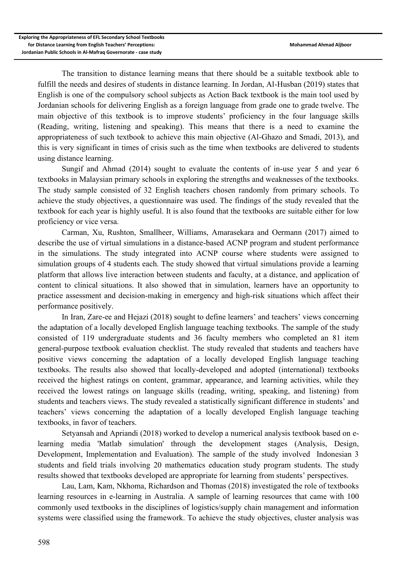The transition to distance learning means that there should be a suitable textbook able to fulfill the needs and desires of students in distance learning. In Jordan, Al-Husban (2019) states that English is one of the compulsory school subjects as Action Back textbook is the main tool used by Jordanian schools for delivering English as a foreign language from grade one to grade twelve. The main objective of this textbook is to improve students' proficiency in the four language skills (Reading, writing, listening and speaking). This means that there is a need to examine the appropriateness of such textbook to achieve this main objective (Al-Ghazo and Smadi, 2013), and this is very significant in times of crisis such as the time when textbooks are delivered to students using distance learning.

Sungif and Ahmad (2014) sought to evaluate the contents of in-use year 5 and year 6 textbooks in Malaysian primary schools in exploring the strengths and weaknesses of the textbooks. The study sample consisted of 32 English teachers chosen randomly from primary schools. To achieve the study objectives, a questionnaire was used. The findings of the study revealed that the textbook for each year is highly useful. It is also found that the textbooks are suitable either for low proficiency or vice versa.

Carman, Xu, Rushton, Smallheer, Williams, Amarasekara and Oermann (2017) aimed to describe the use of virtual simulations in a distance-based ACNP program and student performance in the simulations. The study integrated into ACNP course where students were assigned to simulation groups of 4 students each. The study showed that virtual simulations provide a learning platform that allows live interaction between students and faculty, at a distance, and application of content to clinical situations. It also showed that in simulation, learners have an opportunity to practice assessment and decision-making in emergency and high-risk situations which affect their performance positively.

In Iran, Zare-ee and Hejazi (2018) sought to define learners' and teachers' views concerning the adaptation of a locally developed English language teaching textbooks. The sample of the study consisted of 119 undergraduate students and 36 faculty members who completed an 81 item general-purpose textbook evaluation checklist. The study revealed that students and teachers have positive views concerning the adaptation of a locally developed English language teaching textbooks. The results also showed that locally-developed and adopted (international) textbooks received the highest ratings on content, grammar, appearance, and learning activities, while they received the lowest ratings on language skills (reading, writing, speaking, and listening) from students and teachers views. The study revealed a statistically significant difference in students' and teachers' views concerning the adaptation of a locally developed English language teaching textbooks, in favor of teachers.

Setyansah and Apriandi (2018) worked to develop a numerical analysis textbook based on elearning media 'Matlab simulation' through the development stages (Analysis, Design, Development, Implementation and Evaluation). The sample of the study involved Indonesian 3 students and field trials involving 20 mathematics education study program students. The study results showed that textbooks developed are appropriate for learning from students' perspectives.

Lau, Lam, Kam, Nkhoma, Richardson and Thomas (2018) investigated the role of textbooks learning resources in e-learning in Australia. A sample of learning resources that came with 100 commonly used textbooks in the disciplines of logistics/supply chain management and information systems were classified using the framework. To achieve the study objectives, cluster analysis was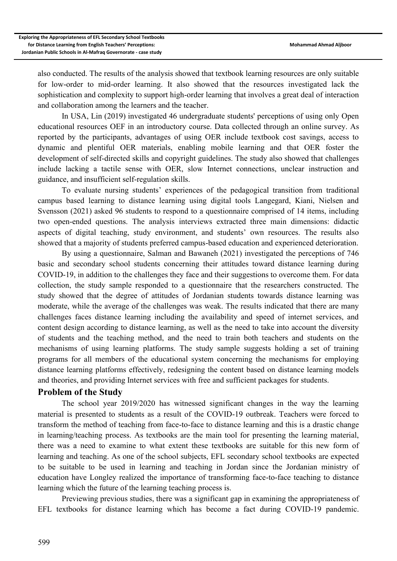also conducted. The results of the analysis showed that textbook learning resources are only suitable for low-order to mid-order learning. It also showed that the resources investigated lack the sophistication and complexity to support high-order learning that involves a great deal of interaction and collaboration among the learners and the teacher.

In USA, Lin (2019) investigated 46 undergraduate students' perceptions of using only Open educational resources OEF in an introductory course. Data collected through an online survey. As reported by the participants, advantages of using OER include textbook cost savings, access to dynamic and plentiful OER materials, enabling mobile learning and that OER foster the development of self-directed skills and copyright guidelines. The study also showed that challenges include lacking a tactile sense with OER, slow Internet connections, unclear instruction and guidance, and insufficient self-regulation skills.

To evaluate nursing students' experiences of the pedagogical transition from traditional campus based learning to distance learning using digital tools Langegard, Kiani, Nielsen and Svensson (2021) asked 96 students to respond to a questionnaire comprised of 14 items, including two open-ended questions. The analysis interviews extracted three main dimensions: didactic aspects of digital teaching, study environment, and students' own resources. The results also showed that a majority of students preferred campus-based education and experienced deterioration.

By using a questionnaire, Salman and Bawaneh (2021) investigated the perceptions of 746 basic and secondary school students concerning their attitudes toward distance learning during COVID-19, in addition to the challenges they face and their suggestions to overcome them. For data collection, the study sample responded to a questionnaire that the researchers constructed. The study showed that the degree of attitudes of Jordanian students towards distance learning was moderate, while the average of the challenges was weak. The results indicated that there are many challenges faces distance learning including the availability and speed of internet services, and content design according to distance learning, as well as the need to take into account the diversity of students and the teaching method, and the need to train both teachers and students on the mechanisms of using learning platforms. The study sample suggests holding a set of training programs for all members of the educational system concerning the mechanisms for employing distance learning platforms effectively, redesigning the content based on distance learning models and theories, and providing Internet services with free and sufficient packages for students.

## **Problem of the Study**

The school year 2019/2020 has witnessed significant changes in the way the learning material is presented to students as a result of the COVID-19 outbreak. Teachers were forced to transform the method of teaching from face-to-face to distance learning and this is a drastic change in learning/teaching process. As textbooks are the main tool for presenting the learning material, there was a need to examine to what extent these textbooks are suitable for this new form of learning and teaching. As one of the school subjects, EFL secondary school textbooks are expected to be suitable to be used in learning and teaching in Jordan since the Jordanian ministry of education have Longley realized the importance of transforming face-to-face teaching to distance learning which the future of the learning teaching process is.

Previewing previous studies, there was a significant gap in examining the appropriateness of EFL textbooks for distance learning which has become a fact during COVID-19 pandemic.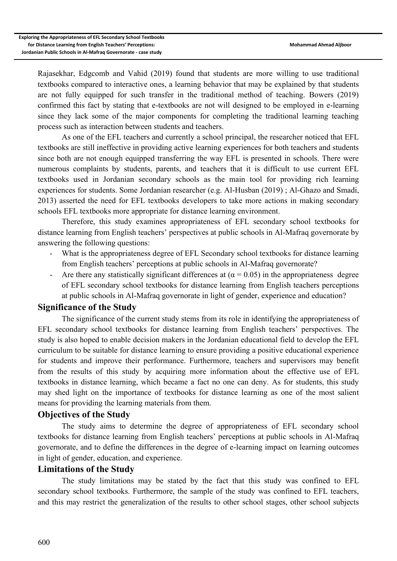Rajasekhar, Edgcomb and Vahid (2019) found that students are more willing to use traditional textbooks compared to interactive ones, a learning behavior that may be explained by that students are not fully equipped for such transfer in the traditional method of teaching. Bowers (2019) confirmed this fact by stating that e-textbooks are not will designed to be employed in e-learning since they lack some of the major components for completing the traditional learning teaching process such as interaction between students and teachers.

As one of the EFL teachers and currently a school principal, the researcher noticed that EFL textbooks are still ineffective in providing active learning experiences for both teachers and students since both are not enough equipped transferring the way EFL is presented in schools. There were numerous complaints by students, parents, and teachers that it is difficult to use current EFL textbooks used in Jordanian secondary schools as the main tool for providing rich learning experiences for students. Some Jordanian researcher (e.g. Al-Husban (2019) ; Al-Ghazo and Smadi, 2013) asserted the need for EFL textbooks developers to take more actions in making secondary schools EFL textbooks more appropriate for distance learning environment.

Therefore, this study examines appropriateness of EFL secondary school textbooks for distance learning from English teachers' perspectives at public schools in Al-Mafraq governorate by answering the following questions:

- What is the appropriateness degree of EFL Secondary school textbooks for distance learning from English teachers' perceptions at public schools in Al-Mafraq governorate?
- Are there any statistically significant differences at  $(\alpha = 0.05)$  in the appropriateness degree of EFL secondary school textbooks for distance learning from English teachers perceptions at public schools in Al-Mafraq governorate in light of gender, experience and education?

### **Significance of the Study**

The significance of the current study stems from its role in identifying the appropriateness of EFL secondary school textbooks for distance learning from English teachers' perspectives. The study is also hoped to enable decision makers in the Jordanian educational field to develop the EFL curriculum to be suitable for distance learning to ensure providing a positive educational experience for students and improve their performance. Furthermore, teachers and supervisors may benefit from the results of this study by acquiring more information about the effective use of EFL textbooks in distance learning, which became a fact no one can deny. As for students, this study may shed light on the importance of textbooks for distance learning as one of the most salient means for providing the learning materials from them.

### **Objectives of the Study**

The study aims to determine the degree of appropriateness of EFL secondary school textbooks for distance learning from English teachers' perceptions at public schools in Al-Mafraq governorate, and to define the differences in the degree of e-learning impact on learning outcomes in light of gender, education, and experience.

#### **Limitations of the Study**

The study limitations may be stated by the fact that this study was confined to EFL secondary school textbooks. Furthermore, the sample of the study was confined to EFL teachers, and this may restrict the generalization of the results to other school stages, other school subjects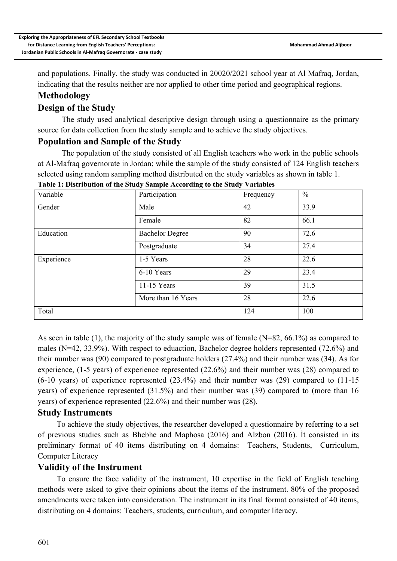and populations. Finally, the study was conducted in 20020/2021 school year at Al Mafraq, Jordan, indicating that the results neither are nor applied to other time period and geographical regions.

# **Methodology**

# **Design of the Study**

The study used analytical descriptive design through using a questionnaire as the primary source for data collection from the study sample and to achieve the study objectives.

## **Population and Sample of the Study**

The population of the study consisted of all English teachers who work in the public schools at Al-Mafraq governorate in Jordan; while the sample of the study consisted of 124 English teachers selected using random sampling method distributed on the study variables as shown in table 1. **Table 1: Distribution of the Study Sample According to the Study Variables**

| Variable   | Participation          | Frequency | $\frac{0}{0}$ |  |
|------------|------------------------|-----------|---------------|--|
| Gender     | Male                   | 42        | 33.9          |  |
|            | Female                 | 82        | 66.1          |  |
| Education  | <b>Bachelor Degree</b> | 90        | 72.6          |  |
|            | Postgraduate           | 34        | 27.4          |  |
| Experience | 1-5 Years              | 28        | 22.6          |  |
|            | 6-10 Years             | 29        | 23.4          |  |
|            | $11-15$ Years          | 39        | 31.5          |  |
|            | More than 16 Years     | 28        | 22.6          |  |
| Total      |                        | 124       | 100           |  |

As seen in table (1), the majority of the study sample was of female (N=82, 66.1%) as compared to males (N=42, 33.9%). With respect to eduaction, Bachelor degree holders represented (72.6%) and their number was (90) compared to postgraduate holders (27.4%) and their number was (34). As for experience, (1-5 years) of experience represented (22.6%) and their number was (28) compared to (6-10 years) of experience represented (23.4%) and their number was (29) compared to (11-15 years) of experience represented (31.5%) and their number was (39) compared to (more than 16 years) of experience represented (22.6%) and their number was (28).

## **Study Instruments**

To achieve the study objectives, the researcher developed a questionnaire by referring to a set of previous studies such as Bhebhe and Maphosa (2016) and Alzbon (2016). İt consisted in its preliminary format of 40 items distributing on 4 domains: Teachers, Students, Curriculum, Computer Literacy

## **Validity of the Instrument**

To ensure the face validity of the instrument, 10 expertise in the field of English teaching methods were asked to give their opinions about the items of the instrument. 80% of the proposed amendments were taken into consideration. The instrument in its final format consisted of 40 items, distributing on 4 domains: Teachers, students, curriculum, and computer literacy.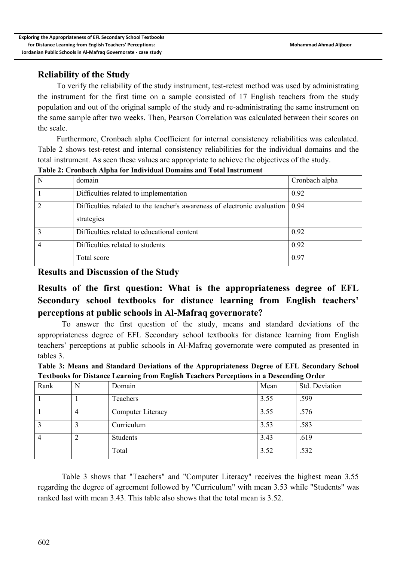# **Reliability of the Study**

To verify the reliability of the study instrument, test-retest method was used by administrating the instrument for the first time on a sample consisted of 17 English teachers from the study population and out of the original sample of the study and re-administrating the same instrument on the same sample after two weeks. Then, Pearson Correlation was calculated between their scores on the scale.

Furthermore, Cronbach alpha Coefficient for internal consistency reliabilities was calculated. Table 2 shows test-retest and internal consistency reliabilities for the individual domains and the total instrument. As seen these values are appropriate to achieve the objectives of the study.

| N              | domain                                                                                          | Cronbach alpha |
|----------------|-------------------------------------------------------------------------------------------------|----------------|
|                | Difficulties related to implementation                                                          | 0.92           |
| 2              | Difficulties related to the teacher's awareness of electronic evaluation $(0.94)$<br>strategies |                |
| 3              | Difficulties related to educational content                                                     | 0.92           |
| $\overline{4}$ | Difficulties related to students                                                                | 0.92           |
|                | Total score                                                                                     | 0.97           |

**Table 2: Cronbach Alpha for Individual Domains and Total Instrument**

**Results and Discussion of the Study**

# **Results of the first question: What is the appropriateness degree of EFL Secondary school textbooks for distance learning from English teachers' perceptions at public schools in Al-Mafraq governorate?**

To answer the first question of the study, means and standard deviations of the appropriateness degree of EFL Secondary school textbooks for distance learning from English teachers' perceptions at public schools in Al-Mafraq governorate were computed as presented in tables 3.

| Table 3: Means and Standard Deviations of the Appropriateness Degree of EFL Secondary School |
|----------------------------------------------------------------------------------------------|
| Textbooks for Distance Learning from English Teachers Perceptions in a Descending Order      |

| Rank | N | Domain            | Mean | Std. Deviation |
|------|---|-------------------|------|----------------|
|      |   | Teachers          | 3.55 | .599           |
|      | 4 | Computer Literacy | 3.55 | .576           |
|      |   | Curriculum        | 3.53 | .583           |
|      | ∠ | Students          | 3.43 | .619           |
|      |   | Total             | 3.52 | .532           |

Table 3 shows that "Teachers" and "Computer Literacy" receives the highest mean 3.55 regarding the degree of agreement followed by "Curriculum" with mean 3.53 while "Students" was ranked last with mean 3.43. This table also shows that the total mean is 3.52.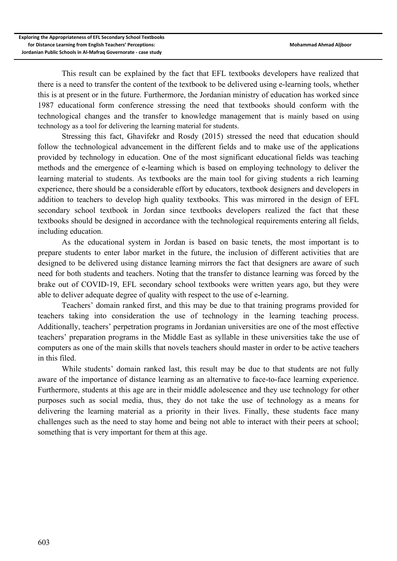This result can be explained by the fact that EFL textbooks developers have realized that there is a need to transfer the content of the textbook to be delivered using e-learning tools, whether this is at present or in the future. Furthermore, the Jordanian ministry of education has worked since 1987 educational form conference stressing the need that textbooks should conform with the technological changes and the transfer to knowledge management that is mainly based on using technology as a tool for delivering the learning material for students.

Stressing this fact, Ghavifekr and Rosdy (2015) stressed the need that education should follow the technological advancement in the different fields and to make use of the applications provided by technology in education. One of the most significant educational fields was teaching methods and the emergence of e-learning which is based on employing technology to deliver the learning material to students. As textbooks are the main tool for giving students a rich learning experience, there should be a considerable effort by educators, textbook designers and developers in addition to teachers to develop high quality textbooks. This was mirrored in the design of EFL secondary school textbook in Jordan since textbooks developers realized the fact that these textbooks should be designed in accordance with the technological requirements entering all fields, including education.

As the educational system in Jordan is based on basic tenets, the most important is to prepare students to enter labor market in the future, the inclusion of different activities that are designed to be delivered using distance learning mirrors the fact that designers are aware of such need for both students and teachers. Noting that the transfer to distance learning was forced by the brake out of COVID-19, EFL secondary school textbooks were written years ago, but they were able to deliver adequate degree of quality with respect to the use of e-learning.

Teachers' domain ranked first, and this may be due to that training programs provided for teachers taking into consideration the use of technology in the learning teaching process. Additionally, teachers' perpetration programs in Jordanian universities are one of the most effective teachers' preparation programs in the Middle East as syllable in these universities take the use of computers as one of the main skills that novels teachers should master in order to be active teachers in this filed.

While students' domain ranked last, this result may be due to that students are not fully aware of the importance of distance learning as an alternative to face-to-face learning experience. Furthermore, students at this age are in their middle adolescence and they use technology for other purposes such as social media, thus, they do not take the use of technology as a means for delivering the learning material as a priority in their lives. Finally, these students face many challenges such as the need to stay home and being not able to interact with their peers at school; something that is very important for them at this age.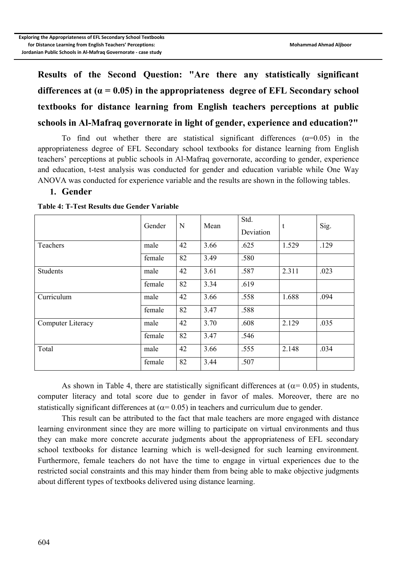**Results of the Second Question: "Are there any statistically significant differences at (α = 0.05) in the appropriateness degree of EFL Secondary school textbooks for distance learning from English teachers perceptions at public schools in Al-Mafraq governorate in light of gender, experience and education?"**

To find out whether there are statistical significant differences  $(\alpha=0.05)$  in the appropriateness degree of EFL Secondary school textbooks for distance learning from English teachers' perceptions at public schools in Al-Mafraq governorate, according to gender, experience and education, t-test analysis was conducted for gender and education variable while One Way ANOVA was conducted for experience variable and the results are shown in the following tables.

#### **1. Gender**

|                   | Gender | N  | Mean | Std.<br>Deviation | t     | Sig. |
|-------------------|--------|----|------|-------------------|-------|------|
| Teachers          | male   | 42 | 3.66 | .625              | 1.529 | .129 |
|                   | female | 82 | 3.49 | .580              |       |      |
| <b>Students</b>   | male   | 42 | 3.61 | .587              | 2.311 | .023 |
|                   | female | 82 | 3.34 | .619              |       |      |
| Curriculum        | male   | 42 | 3.66 | .558              | 1.688 | .094 |
|                   | female | 82 | 3.47 | .588              |       |      |
| Computer Literacy | male   | 42 | 3.70 | .608              | 2.129 | .035 |
|                   | female | 82 | 3.47 | .546              |       |      |
| Total             | male   | 42 | 3.66 | .555              | 2.148 | .034 |
|                   | female | 82 | 3.44 | .507              |       |      |

**Table 4: T-Test Results due Gender Variable**

As shown in Table 4, there are statistically significant differences at ( $\alpha$ = 0.05) in students, computer literacy and total score due to gender in favor of males. Moreover, there are no statistically significant differences at  $(\alpha = 0.05)$  in teachers and curriculum due to gender.

This result can be attributed to the fact that male teachers are more engaged with distance learning environment since they are more willing to participate on virtual environments and thus they can make more concrete accurate judgments about the appropriateness of EFL secondary school textbooks for distance learning which is well-designed for such learning environment. Furthermore, female teachers do not have the time to engage in virtual experiences due to the restricted social constraints and this may hinder them from being able to make objective judgments about different types of textbooks delivered using distance learning.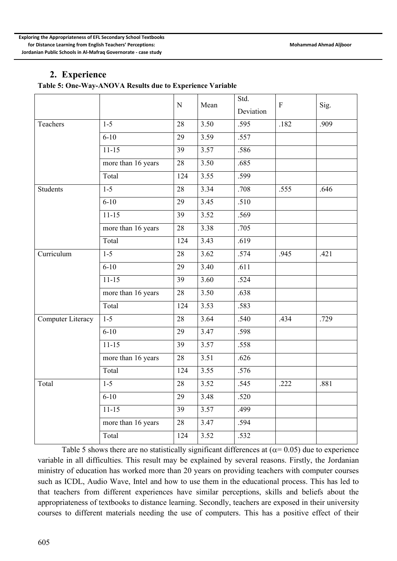## **2. Experience**

**Table 5: One-Way-ANOVA Results due to Experience Variable**

|                   |                    | N   | Mean | Std.<br>Deviation | $\mathbf{F}$ | Sig. |
|-------------------|--------------------|-----|------|-------------------|--------------|------|
| Teachers          | $1 - 5$            | 28  | 3.50 | .595              | .182         | .909 |
|                   | $6 - 10$           | 29  | 3.59 | .557              |              |      |
|                   | $11 - 15$          | 39  | 3.57 | .586              |              |      |
|                   | more than 16 years | 28  | 3.50 | .685              |              |      |
|                   | Total              | 124 | 3.55 | .599              |              |      |
| <b>Students</b>   | $1 - 5$            | 28  | 3.34 | .708              | .555         | .646 |
|                   | $6 - 10$           | 29  | 3.45 | .510              |              |      |
|                   | $11 - 15$          | 39  | 3.52 | .569              |              |      |
|                   | more than 16 years | 28  | 3.38 | .705              |              |      |
|                   | Total              | 124 | 3.43 | .619              |              |      |
| Curriculum        | $1 - 5$            | 28  | 3.62 | .574              | .945         | .421 |
|                   | $6 - 10$           | 29  | 3.40 | .611              |              |      |
|                   | $11 - 15$          | 39  | 3.60 | .524              |              |      |
|                   | more than 16 years | 28  | 3.50 | .638              |              |      |
|                   | Total              | 124 | 3.53 | .583              |              |      |
| Computer Literacy | $1 - 5$            | 28  | 3.64 | .540              | .434         | .729 |
|                   | $6 - 10$           | 29  | 3.47 | .598              |              |      |
|                   | $11 - 15$          | 39  | 3.57 | .558              |              |      |
|                   | more than 16 years | 28  | 3.51 | .626              |              |      |
|                   | Total              | 124 | 3.55 | .576              |              |      |
| Total             | $1 - 5$            | 28  | 3.52 | .545              | .222         | .881 |
|                   | $6 - 10$           | 29  | 3.48 | .520              |              |      |
|                   | $11 - 15$          | 39  | 3.57 | .499              |              |      |
|                   | more than 16 years | 28  | 3.47 | .594              |              |      |
|                   | Total              | 124 | 3.52 | .532              |              |      |

Table 5 shows there are no statistically significant differences at ( $\alpha$ = 0.05) due to experience variable in all difficulties. This result may be explained by several reasons. Firstly, the Jordanian ministry of education has worked more than 20 years on providing teachers with computer courses such as ICDL, Audio Wave, Intel and how to use them in the educational process. This has led to that teachers from different experiences have similar perceptions, skills and beliefs about the appropriateness of textbooks to distance learning. Secondly, teachers are exposed in their university courses to different materials needing the use of computers. This has a positive effect of their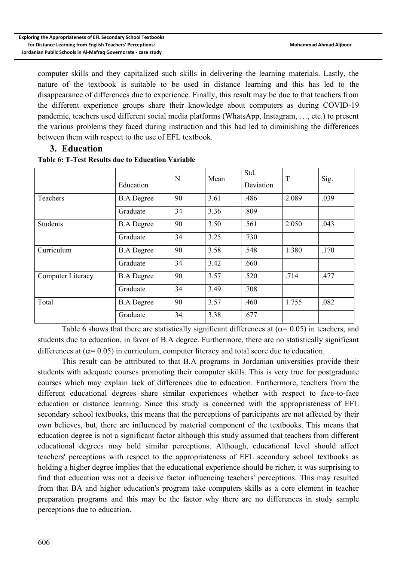computer skills and they capitalized such skills in delivering the learning materials. Lastly, the nature of the textbook is suitable to be used in distance learning and this has led to the disappearance of differences due to experience. Finally, this result may be due to that teachers from the different experience groups share their knowledge about computers as during COVID-19 pandemic, teachers used different social media platforms (WhatsApp, Instagram, …, etc.) to present the various problems they faced during instruction and this had led to diminishing the differences between them with respect to the use of EFL textbook.

#### **3. Education**

|                   | Education         | N  | Mean | Std.<br>Deviation | T     | Sig. |
|-------------------|-------------------|----|------|-------------------|-------|------|
| Teachers          | <b>B.A Degree</b> | 90 | 3.61 | .486              | 2.089 | .039 |
|                   | Graduate          | 34 | 3.36 | .809              |       |      |
| <b>Students</b>   | <b>B.A</b> Degree | 90 | 3.50 | .561              | 2.050 | .043 |
|                   | Graduate          | 34 | 3.25 | .730              |       |      |
| Curriculum        | <b>B.A Degree</b> | 90 | 3.58 | .548              | 1.380 | .170 |
|                   | Graduate          | 34 | 3.42 | .660              |       |      |
| Computer Literacy | <b>B.A Degree</b> | 90 | 3.57 | .520              | .714  | .477 |
|                   | Graduate          | 34 | 3.49 | .708              |       |      |
| Total             | <b>B.A Degree</b> | 90 | 3.57 | .460              | 1.755 | .082 |
|                   | Graduate          | 34 | 3.38 | .677              |       |      |

#### **Table 6: T-Test Results due to Education Variable**

Table 6 shows that there are statistically significant differences at ( $\alpha$ = 0.05) in teachers, and students due to education, in favor of B.A degree. Furthermore, there are no statistically significant differences at ( $\alpha$ = 0.05) in curriculum, computer literacy and total score due to education.

This result can be attributed to that B.A programs in Jordanian universities provide their students with adequate courses promoting their computer skills. This is very true for postgraduate courses which may explain lack of differences due to education. Furthermore, teachers from the different educational degrees share similar experiences whether with respect to face-to-face education or distance learning. Since this study is concerned with the appropriateness of EFL secondary school textbooks, this means that the perceptions of participants are not affected by their own believes, but, there are influenced by material component of the textbooks. This means that education degree is not a significant factor although this study assumed that teachers from different educational degrees may hold similar perceptions. Although, educational level should affect teachers' perceptions with respect to the appropriateness of EFL secondary school textbooks as holding a higher degree implies that the educational experience should be richer, it was surprising to find that education was not a decisive factor influencing teachers' perceptions. This may resulted from that BA and higher education's program take computers skills as a core element in teacher preparation programs and this may be the factor why there are no differences in study sample perceptions due to education.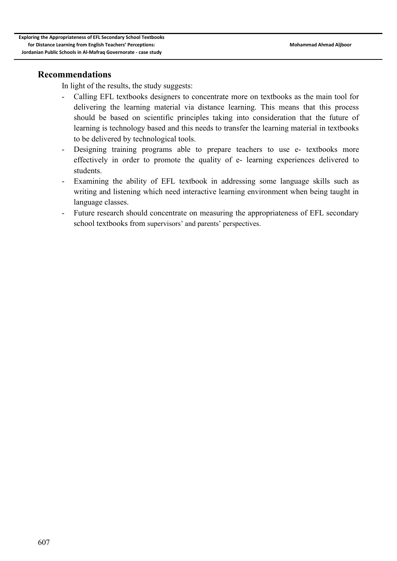## **Recommendations**

In light of the results, the study suggests:

- Calling EFL textbooks designers to concentrate more on textbooks as the main tool for delivering the learning material via distance learning. This means that this process should be based on scientific principles taking into consideration that the future of learning is technology based and this needs to transfer the learning material in textbooks to be delivered by technological tools.
- Designing training programs able to prepare teachers to use e- textbooks more effectively in order to promote the quality of e- learning experiences delivered to students.
- Examining the ability of EFL textbook in addressing some language skills such as writing and listening which need interactive learning environment when being taught in language classes.
- Future research should concentrate on measuring the appropriateness of EFL secondary school textbooks from supervisors' and parents' perspectives.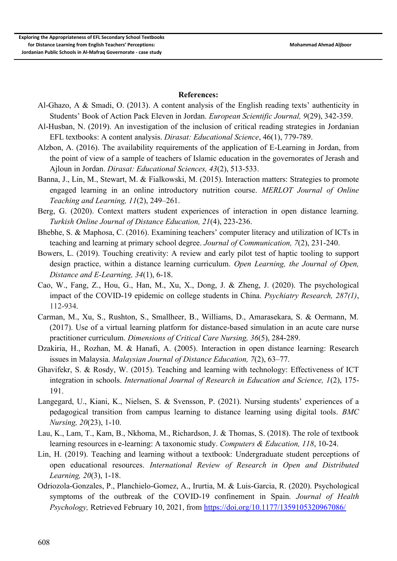#### **References:**

- Al-Ghazo, A & Smadi, O. (2013). A content analysis of the English reading texts' authenticity in Students' Book of Action Pack Eleven in Jordan. *European Scientific Journal, 9*(29), 342-359.
- Al-Husban, N. (2019). An investigation of the inclusion of critical reading strategies in Jordanian EFL textbooks: A content analysis. *Dirasat: Educational Science*, 46(1), 779-789.
- Alzbon, A. (2016). The availability requirements of the application of E-Learning in Jordan, from the point of view of a sample of teachers of Islamic education in the governorates of Jerash and Ajloun in Jordan. *Dirasat: Educational Sciences, 43*(2), 513-533.
- Banna, J., Lin, M., Stewart, M. & Fialkowski, M. (2015). Interaction matters: Strategies to promote engaged learning in an online introductory nutrition course. *MERLOT Journal of Online Teaching and Learning, 11*(2), 249–261.
- Berg, G. (2020). Context matters student experiences of interaction in open distance learning. *Turkish Online Journal of Distance Education, 21*(4), 223-236.
- Bhebhe, S. & Maphosa, C. (2016). Examining teachers' computer literacy and utilization of ICTs in teaching and learning at primary school degree. *Journal of Communication, 7*(2), 231-240.
- Bowers, L. (2019). Touching creativity: A review and early pilot test of haptic tooling to support design practice, within a distance learning curriculum. *Open Learning, the Journal of Open, Distance and E-Learning, 34*(1), 6-18.
- Cao, W., Fang, Z., Hou, G., Han, M., Xu, X., Dong, J. & Zheng, J. (2020). The psychological impact of the COVID-19 epidemic on college students in China. *Psychiatry Research, 287(1)*, 112-934.
- Carman, M., Xu, S., Rushton, S., Smallheer, B., Williams, D., Amarasekara, S. & Oermann, M. (2017). Use of a virtual learning platform for distance-based simulation in an acute care nurse practitioner curriculum. *Dimensions of Critical Care Nursing, 36*(5), 284-289.
- Dzakiria, H., Rozhan, M. & Hanafi, A. (2005). Interaction in open distance learning: Research issues in Malaysia. *Malaysian Journal of Distance Education, 7*(2), 63–77.
- Ghavifekr, S. & Rosdy, W. (2015). Teaching and learning with technology: Effectiveness of ICT integration in schools. *International Journal of Research in Education and Science, 1*(2), 175- 191.
- Langegard, U., Kiani, K., Nielsen, S. & Svensson, P. (2021). Nursing students' experiences of a pedagogical transition from campus learning to distance learning using digital tools. *BMC Nursing, 20*(23), 1-10.
- Lau, K., Lam, T., Kam, B., Nkhoma, M., Richardson, J. & Thomas, S. (2018). The role of textbook learning resources in e-learning: A taxonomic study. *Computers & Education, 118*, 10-24.
- Lin, H. (2019). Teaching and learning without a textbook: Undergraduate student perceptions of open educational resources. *International Review of Research in Open and Distributed Learning, 20*(3), 1-18.
- Odriozola-Gonzales, P., Planchielo-Gomez, A., Irurtia, M. & Luis-Garcia, R. (2020). Psychological symptoms of the outbreak of the COVID-19 confinement in Spain. *Journal of Health Psychology, Retrieved February 10, 2021, from <https://doi.org/10.1177/1359105320967086/>*